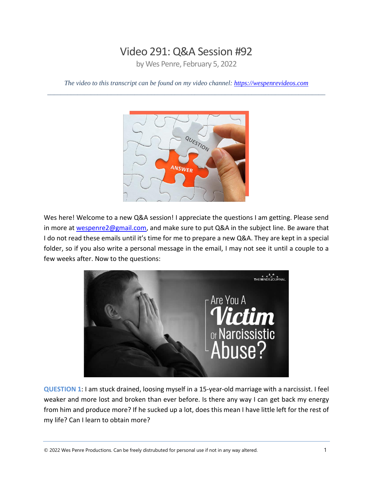## Video 291: Q&A Session #92

by Wes Penre, February 5, 2022

*The video to this transcript can be found on my video channel: [https://wespenrevideos.com](https://wespenrevideos.com/)  \_\_\_\_\_\_\_\_\_\_\_\_\_\_\_\_\_\_\_\_\_\_\_\_\_\_\_\_\_\_\_\_\_\_\_\_\_\_\_\_\_\_\_\_\_\_\_\_\_\_\_\_\_\_\_\_\_\_\_\_\_\_\_\_\_\_\_\_\_\_\_\_\_\_\_\_\_\_\_\_\_\_\_* 



Wes here! Welcome to a new Q&A session! I appreciate the questions I am getting. Please send in more at [wespenre2@gmail.com,](mailto:wespenre2@gmail.com) and make sure to put Q&A in the subject line. Be aware that I do not read these emails until it's time for me to prepare a new Q&A. They are kept in a special folder, so if you also write a personal message in the email, I may not see it until a couple to a few weeks after. Now to the questions:



**QUESTION 1**: I am stuck drained, loosing myself in a 15-year-old marriage with a narcissist. I feel weaker and more lost and broken than ever before. Is there any way I can get back my energy from him and produce more? If he sucked up a lot, does this mean I have little left for the rest of my life? Can I learn to obtain more?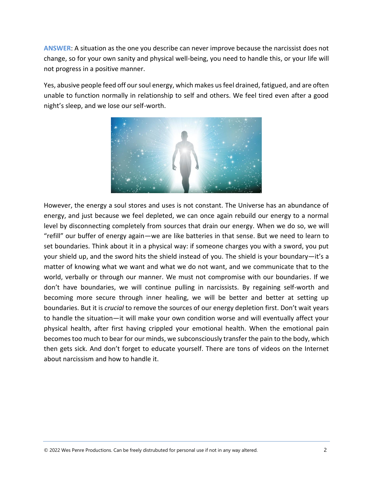**ANSWER**: A situation as the one you describe can never improve because the narcissist does not change, so for your own sanity and physical well-being, you need to handle this, or your life will not progress in a positive manner.

Yes, abusive people feed off our soul energy, which makes us feel drained, fatigued, and are often unable to function normally in relationship to self and others. We feel tired even after a good night's sleep, and we lose our self-worth.



However, the energy a soul stores and uses is not constant. The Universe has an abundance of energy, and just because we feel depleted, we can once again rebuild our energy to a normal level by disconnecting completely from sources that drain our energy. When we do so, we will "refill" our buffer of energy again—we are like batteries in that sense. But we need to learn to set boundaries. Think about it in a physical way: if someone charges you with a sword, you put your shield up, and the sword hits the shield instead of you. The shield is your boundary—it's a matter of knowing what we want and what we do not want, and we communicate that to the world, verbally or through our manner. We must not compromise with our boundaries. If we don't have boundaries, we will continue pulling in narcissists. By regaining self-worth and becoming more secure through inner healing, we will be better and better at setting up boundaries. But it is *crucial* to remove the sources of our energy depletion first. Don't wait years to handle the situation—it will make your own condition worse and will eventually affect your physical health, after first having crippled your emotional health. When the emotional pain becomes too much to bear for our minds, we subconsciously transfer the pain to the body, which then gets sick. And don't forget to educate yourself. There are tons of videos on the Internet about narcissism and how to handle it.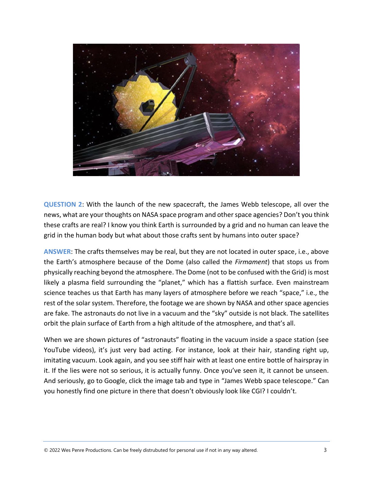

**QUESTION 2**: With the launch of the new spacecraft, the James Webb telescope, all over the news, what are your thoughts on NASA space program and other space agencies? Don't you think these crafts are real? I know you think Earth is surrounded by a grid and no human can leave the grid in the human body but what about those crafts sent by humans into outer space?

**ANSWER**: The crafts themselves may be real, but they are not located in outer space, i.e., above the Earth's atmosphere because of the Dome (also called the *Firmament*) that stops us from physically reaching beyond the atmosphere. The Dome (not to be confused with the Grid) is most likely a plasma field surrounding the "planet," which has a flattish surface. Even mainstream science teaches us that Earth has many layers of atmosphere before we reach "space," i.e., the rest of the solar system. Therefore, the footage we are shown by NASA and other space agencies are fake. The astronauts do not live in a vacuum and the "sky" outside is not black. The satellites orbit the plain surface of Earth from a high altitude of the atmosphere, and that's all.

When we are shown pictures of "astronauts" floating in the vacuum inside a space station (see YouTube videos), it's just very bad acting. For instance, look at their hair, standing right up, imitating vacuum. Look again, and you see stiff hair with at least one entire bottle of hairspray in it. If the lies were not so serious, it is actually funny. Once you've seen it, it cannot be unseen. And seriously, go to Google, click the image tab and type in "James Webb space telescope." Can you honestly find one picture in there that doesn't obviously look like CGI? I couldn't.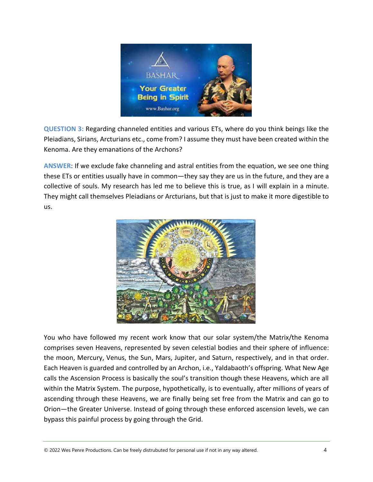

**QUESTION 3:** Regarding channeled entities and various ETs, where do you think beings like the Pleiadians, Sirians, Arcturians etc., come from? I assume they must have been created within the Kenoma. Are they emanations of the Archons?

**ANSWER**: If we exclude fake channeling and astral entities from the equation, we see one thing these ETs or entities usually have in common—they say they are us in the future, and they are a collective of souls. My research has led me to believe this is true, as I will explain in a minute. They might call themselves Pleiadians or Arcturians, but that is just to make it more digestible to us.



You who have followed my recent work know that our solar system/the Matrix/the Kenoma comprises seven Heavens, represented by seven celestial bodies and their sphere of influence: the moon, Mercury, Venus, the Sun, Mars, Jupiter, and Saturn, respectively, and in that order. Each Heaven is guarded and controlled by an Archon, i.e., Yaldabaoth's offspring. What New Age calls the Ascension Process is basically the soul's transition though these Heavens, which are all within the Matrix System. The purpose, hypothetically, is to eventually, after millions of years of ascending through these Heavens, we are finally being set free from the Matrix and can go to Orion—the Greater Universe. Instead of going through these enforced ascension levels, we can bypass this painful process by going through the Grid.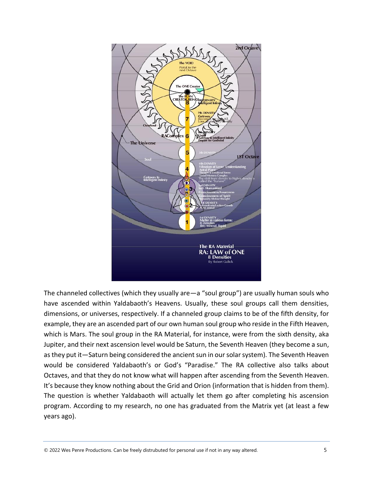

The channeled collectives (which they usually are—a "soul group") are usually human souls who have ascended within Yaldabaoth's Heavens. Usually, these soul groups call them densities, dimensions, or universes, respectively. If a channeled group claims to be of the fifth density, for example, they are an ascended part of our own human soul group who reside in the Fifth Heaven, which is Mars. The soul group in the RA Material, for instance, were from the sixth density, aka Jupiter, and their next ascension level would be Saturn, the Seventh Heaven (they become a sun, as they put it—Saturn being considered the ancient sun in our solar system). The Seventh Heaven would be considered Yaldabaoth's or God's "Paradise." The RA collective also talks about Octaves, and that they do not know what will happen after ascending from the Seventh Heaven. It's because they know nothing about the Grid and Orion (information that is hidden from them). The question is whether Yaldabaoth will actually let them go after completing his ascension program. According to my research, no one has graduated from the Matrix yet (at least a few years ago).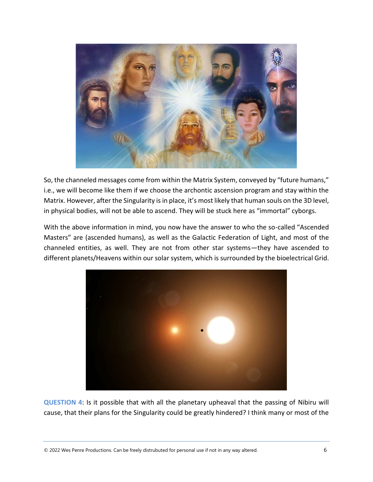

So, the channeled messages come from within the Matrix System, conveyed by "future humans," i.e., we will become like them if we choose the archontic ascension program and stay within the Matrix. However, after the Singularity is in place, it's most likely that human souls on the 3D level, in physical bodies, will not be able to ascend. They will be stuck here as "immortal" cyborgs.

With the above information in mind, you now have the answer to who the so-called "Ascended Masters" are (ascended humans), as well as the Galactic Federation of Light, and most of the channeled entities, as well. They are not from other star systems—they have ascended to different planets/Heavens within our solar system, which is surrounded by the bioelectrical Grid.



**QUESTION 4**: Is it possible that with all the planetary upheaval that the passing of Nibiru will cause, that their plans for the Singularity could be greatly hindered? I think many or most of the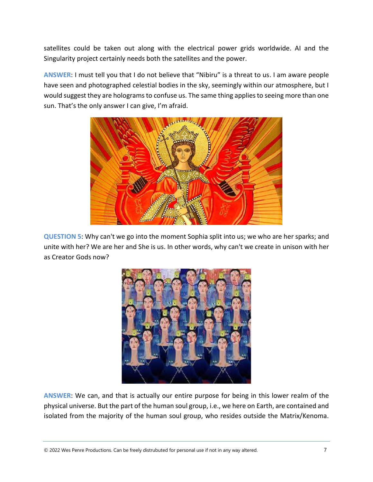satellites could be taken out along with the electrical power grids worldwide. AI and the Singularity project certainly needs both the satellites and the power.

**ANSWER**: I must tell you that I do not believe that "Nibiru" is a threat to us. I am aware people have seen and photographed celestial bodies in the sky, seemingly within our atmosphere, but I would suggest they are holograms to confuse us. The same thing applies to seeing more than one sun. That's the only answer I can give, I'm afraid.



**QUESTION 5**: Why can't we go into the moment Sophia split into us; we who are her sparks; and unite with her? We are her and She is us. In other words, why can't we create in unison with her as Creator Gods now?



**ANSWER**: We can, and that is actually our entire purpose for being in this lower realm of the physical universe. But the part of the human soul group, i.e., we here on Earth, are contained and isolated from the majority of the human soul group, who resides outside the Matrix/Kenoma.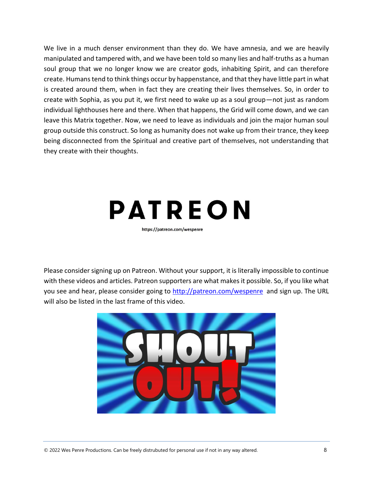We live in a much denser environment than they do. We have amnesia, and we are heavily manipulated and tampered with, and we have been told so many lies and half-truths as a human soul group that we no longer know we are creator gods, inhabiting Spirit, and can therefore create. Humans tend to think things occur by happenstance, and that they have little part in what is created around them, when in fact they are creating their lives themselves. So, in order to create with Sophia, as you put it, we first need to wake up as a soul group—not just as random individual lighthouses here and there. When that happens, the Grid will come down, and we can leave this Matrix together. Now, we need to leave as individuals and join the major human soul group outside this construct. So long as humanity does not wake up from their trance, they keep being disconnected from the Spiritual and creative part of themselves, not understanding that they create with their thoughts.

## **PATREON**

https://patreon.com/wespenre

Please consider signing up on Patreon. Without your support, it is literally impossible to continue with these videos and articles. Patreon supporters are what makes it possible. So, if you like what you see and hear, please consider going to<http://patreon.com/wespenre>and sign up. The URL will also be listed in the last frame of this video.